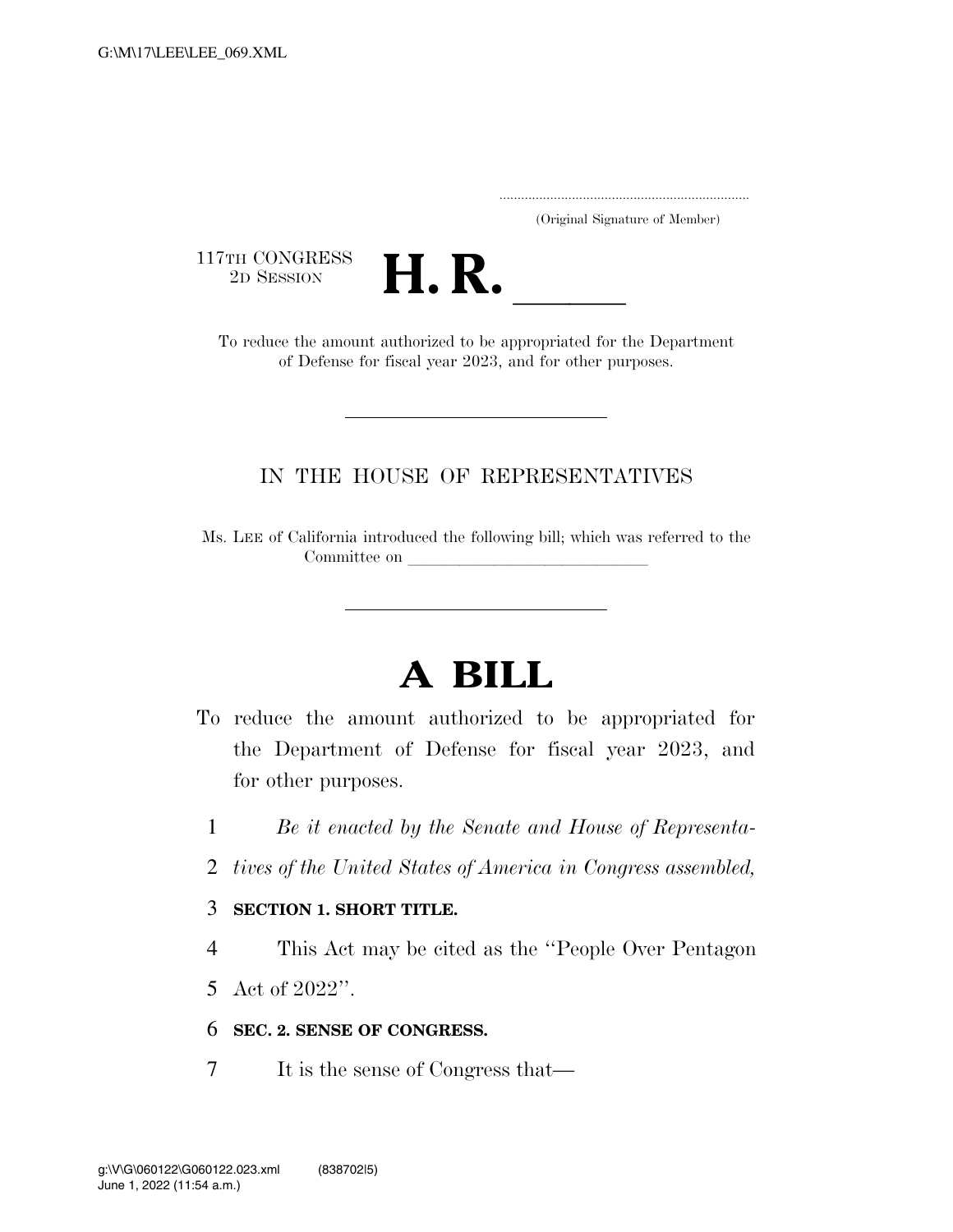..................................................................... (Original Signature of Member)

117TH CONGRESS<br>2D SESSION



TH CONGRESS<br>
2D SESSION<br>
To reduce the amount authorized to be appropriated for the Department of Defense for fiscal year 2023, and for other purposes.

## IN THE HOUSE OF REPRESENTATIVES

Ms. LEE of California introduced the following bill; which was referred to the Committee on

## **A BILL**

- To reduce the amount authorized to be appropriated for the Department of Defense for fiscal year 2023, and for other purposes.
	- 1 *Be it enacted by the Senate and House of Representa-*
	- 2 *tives of the United States of America in Congress assembled,*

## 3 **SECTION 1. SHORT TITLE.**

- 4 This Act may be cited as the ''People Over Pentagon
- 5 Act of 2022''.

## 6 **SEC. 2. SENSE OF CONGRESS.**

7 It is the sense of Congress that—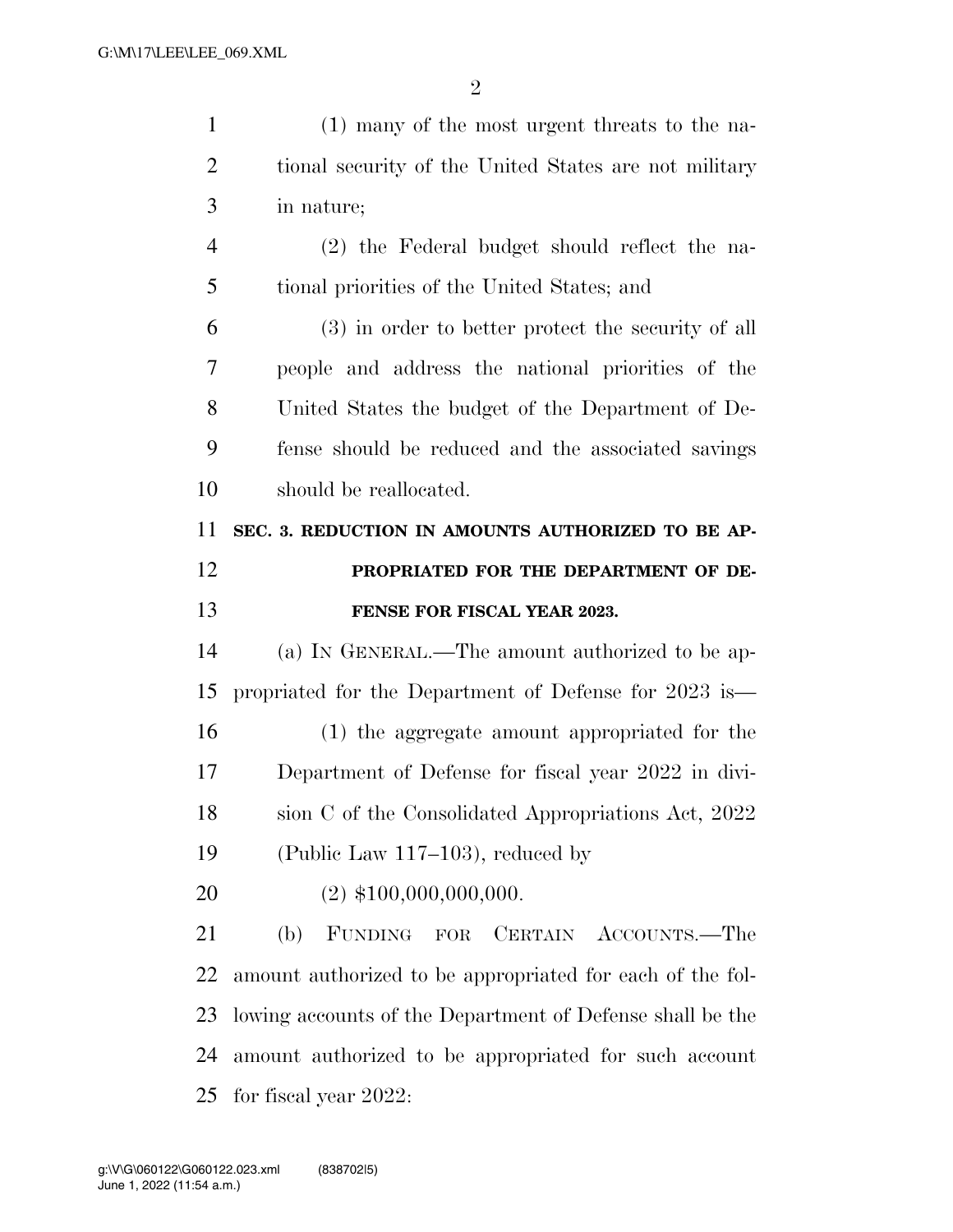| $\mathbf{1}$   | (1) many of the most urgent threats to the na-            |
|----------------|-----------------------------------------------------------|
| $\overline{2}$ | tional security of the United States are not military     |
| 3              | in nature;                                                |
| $\overline{4}$ | (2) the Federal budget should reflect the na-             |
| 5              | tional priorities of the United States; and               |
| 6              | (3) in order to better protect the security of all        |
| 7              | people and address the national priorities of the         |
| 8              | United States the budget of the Department of De-         |
| 9              | fense should be reduced and the associated savings        |
| 10             | should be reallocated.                                    |
| 11             | SEC. 3. REDUCTION IN AMOUNTS AUTHORIZED TO BE AP-         |
| 12             | PROPRIATED FOR THE DEPARTMENT OF DE-                      |
| 13             | FENSE FOR FISCAL YEAR 2023.                               |
| 14             | (a) IN GENERAL.—The amount authorized to be ap-           |
| 15             | propriated for the Department of Defense for 2023 is—     |
|                |                                                           |
| 16             | (1) the aggregate amount appropriated for the             |
| 17             | Department of Defense for fiscal year 2022 in divi-       |
| 18             | sion C of the Consolidated Appropriations Act, 2022       |
| 19             | (Public Law $117-103$ ), reduced by                       |
| 20             | $(2)$ \$100,000,000,000.                                  |
| 21             | FUNDING FOR<br>CERTAIN ACCOUNTS.—The<br>(b)               |
| 22             | amount authorized to be appropriated for each of the fol- |
| 23             | lowing accounts of the Department of Defense shall be the |
| 24             | amount authorized to be appropriated for such account     |